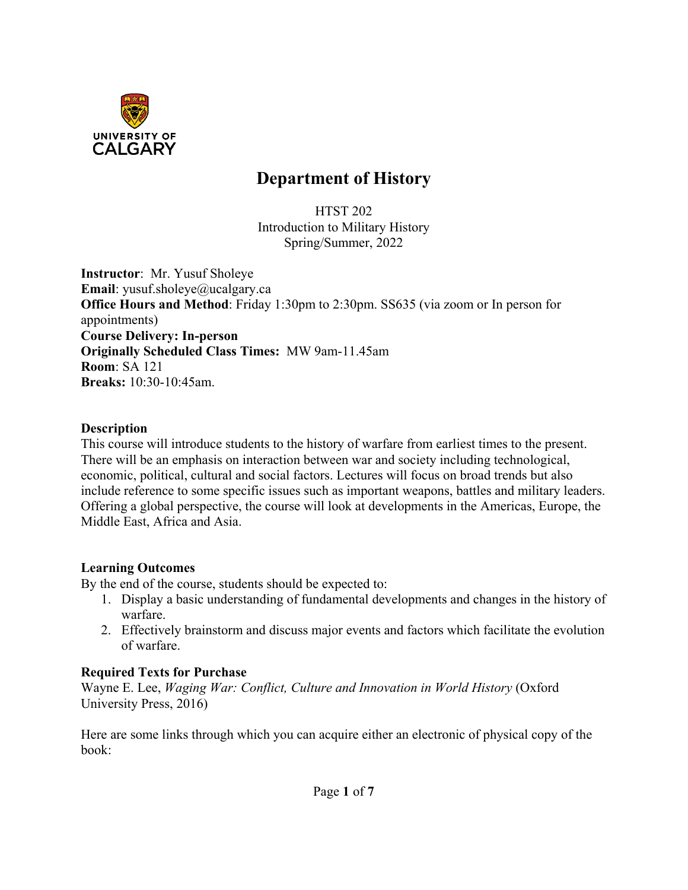

# **Department of History**

HTST 202 Introduction to Military History Spring/Summer, 2022

**Instructor**: Mr. Yusuf Sholeye **Email**: yusuf.sholeye@ucalgary.ca **Office Hours and Method**: Friday 1:30pm to 2:30pm. SS635 (via zoom or In person for appointments) **Course Delivery: In-person Originally Scheduled Class Times:** MW 9am-11.45am **Room**: SA 121 **Breaks:** 10:30-10:45am.

#### **Description**

This course will introduce students to the history of warfare from earliest times to the present. There will be an emphasis on interaction between war and society including technological, economic, political, cultural and social factors. Lectures will focus on broad trends but also include reference to some specific issues such as important weapons, battles and military leaders. Offering a global perspective, the course will look at developments in the Americas, Europe, the Middle East, Africa and Asia.

#### **Learning Outcomes**

By the end of the course, students should be expected to:

- 1. Display a basic understanding of fundamental developments and changes in the history of warfare.
- 2. Effectively brainstorm and discuss major events and factors which facilitate the evolution of warfare.

#### **Required Texts for Purchase**

Wayne E. Lee, *Waging War: Conflict, Culture and Innovation in World History* (Oxford University Press, 2016)

Here are some links through which you can acquire either an electronic of physical copy of the book: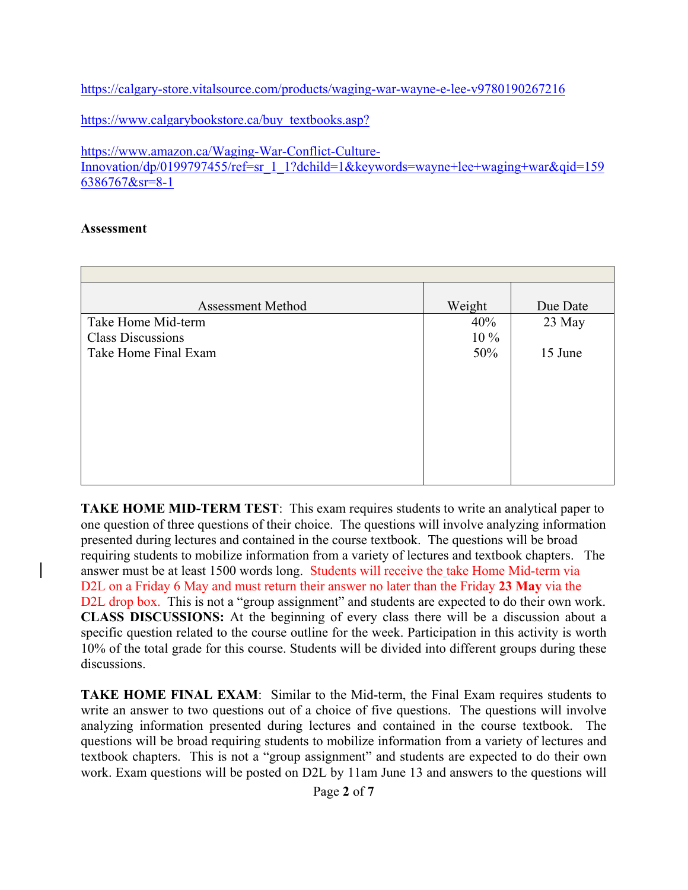<https://calgary-store.vitalsource.com/products/waging-war-wayne-e-lee-v9780190267216>

[https://www.calgarybookstore.ca/buy\\_textbooks.asp?](https://www.calgarybookstore.ca/buy_textbooks.asp?)

[https://www.amazon.ca/Waging-War-Conflict-Culture-](https://www.amazon.ca/Waging-War-Conflict-Culture-Innovation/dp/0199797455/ref=sr_1_1?dchild=1&keywords=wayne+lee+waging+war&qid=1596386767&sr=8-1)

[Innovation/dp/0199797455/ref=sr\\_1\\_1?dchild=1&keywords=wayne+lee+waging+war&qid=159](https://www.amazon.ca/Waging-War-Conflict-Culture-Innovation/dp/0199797455/ref=sr_1_1?dchild=1&keywords=wayne+lee+waging+war&qid=1596386767&sr=8-1) [6386767&sr=8-1](https://www.amazon.ca/Waging-War-Conflict-Culture-Innovation/dp/0199797455/ref=sr_1_1?dchild=1&keywords=wayne+lee+waging+war&qid=1596386767&sr=8-1)

#### **Assessment**

| <b>Assessment Method</b> | Weight | Due Date |
|--------------------------|--------|----------|
| Take Home Mid-term       | 40%    | 23 May   |
| <b>Class Discussions</b> | 10 %   |          |
| Take Home Final Exam     | 50%    | 15 June  |
|                          |        |          |
|                          |        |          |
|                          |        |          |
|                          |        |          |
|                          |        |          |
|                          |        |          |
|                          |        |          |
|                          |        |          |

**TAKE HOME MID-TERM TEST**: This exam requires students to write an analytical paper to one question of three questions of their choice. The questions will involve analyzing information presented during lectures and contained in the course textbook. The questions will be broad requiring students to mobilize information from a variety of lectures and textbook chapters. The answer must be at least 1500 words long. Students will receive the take Home Mid-term via D2L on a Friday 6 May and must return their answer no later than the Friday **23 May** via the D2L drop box. This is not a "group assignment" and students are expected to do their own work. **CLASS DISCUSSIONS:** At the beginning of every class there will be a discussion about a specific question related to the course outline for the week. Participation in this activity is worth 10% of the total grade for this course. Students will be divided into different groups during these discussions.

**TAKE HOME FINAL EXAM**: Similar to the Mid-term, the Final Exam requires students to write an answer to two questions out of a choice of five questions. The questions will involve analyzing information presented during lectures and contained in the course textbook. The questions will be broad requiring students to mobilize information from a variety of lectures and textbook chapters. This is not a "group assignment" and students are expected to do their own work. Exam questions will be posted on D2L by 11am June 13 and answers to the questions will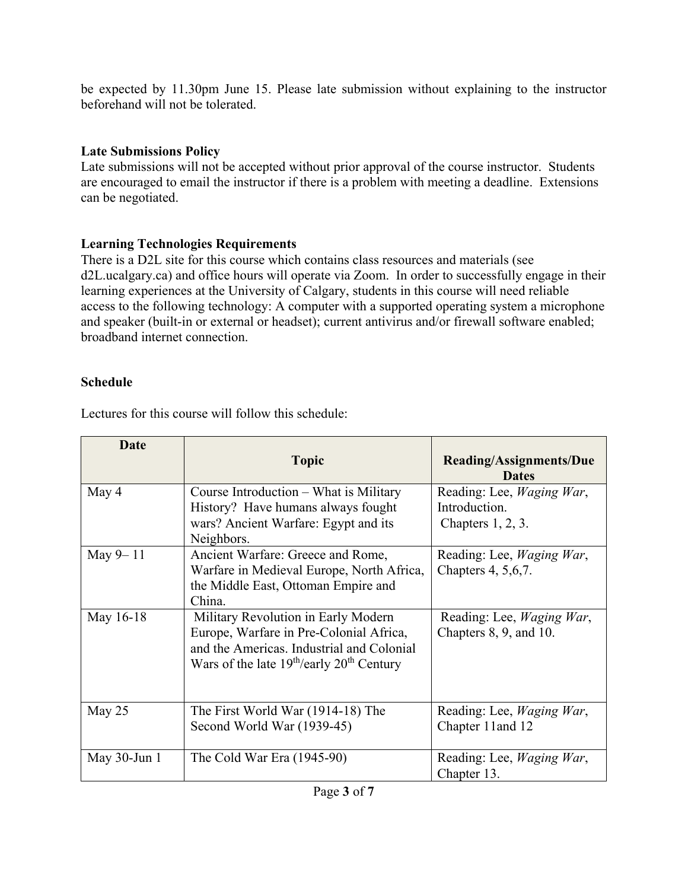be expected by 11.30pm June 15. Please late submission without explaining to the instructor beforehand will not be tolerated.

### **Late Submissions Policy**

Late submissions will not be accepted without prior approval of the course instructor. Students are encouraged to email the instructor if there is a problem with meeting a deadline. Extensions can be negotiated.

# **Learning Technologies Requirements**

There is a D2L site for this course which contains class resources and materials (see d2L.ucalgary.ca) and office hours will operate via Zoom. In order to successfully engage in their learning experiences at the University of Calgary, students in this course will need reliable access to the following technology: A computer with a supported operating system a microphone and speaker (built-in or external or headset); current antivirus and/or firewall software enabled; broadband internet connection.

# **Schedule**

Lectures for this course will follow this schedule:

| Date            | <b>Topic</b>                                                                                                                                                                             | <b>Reading/Assignments/Due</b><br><b>Dates</b>                             |
|-----------------|------------------------------------------------------------------------------------------------------------------------------------------------------------------------------------------|----------------------------------------------------------------------------|
| May 4           | Course Introduction – What is Military<br>History? Have humans always fought<br>wars? Ancient Warfare: Egypt and its<br>Neighbors.                                                       | Reading: Lee, <i>Waging War</i> ,<br>Introduction.<br>Chapters $1, 2, 3$ . |
| May 9-11        | Ancient Warfare: Greece and Rome,<br>Warfare in Medieval Europe, North Africa,<br>the Middle East, Ottoman Empire and<br>China.                                                          | Reading: Lee, <i>Waging War</i> ,<br>Chapters 4, 5, 6, 7.                  |
| May 16-18       | Military Revolution in Early Modern<br>Europe, Warfare in Pre-Colonial Africa,<br>and the Americas. Industrial and Colonial<br>Wars of the late $19^{th}/early$ 20 <sup>th</sup> Century | Reading: Lee, <i>Waging War</i> ,<br>Chapters 8, 9, and 10.                |
| May 25          | The First World War (1914-18) The<br>Second World War (1939-45)                                                                                                                          | Reading: Lee, Waging War,<br>Chapter 11 and 12                             |
| May $30$ -Jun 1 | The Cold War Era $(1945-90)$                                                                                                                                                             | Reading: Lee, <i>Waging War</i> ,<br>Chapter 13.                           |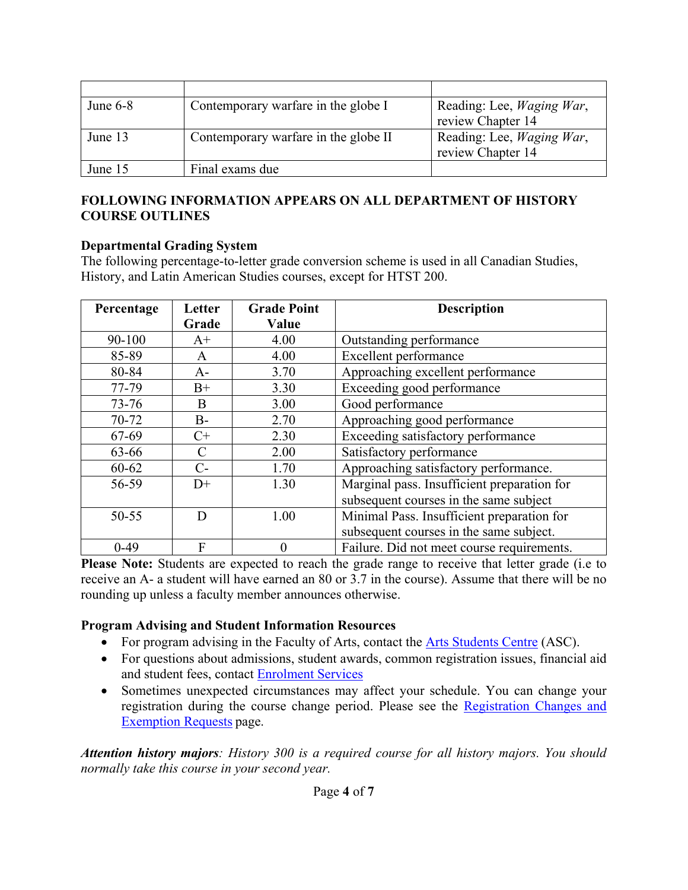| June $6-8$ | Contemporary warfare in the globe I  | Reading: Lee, Waging War, |
|------------|--------------------------------------|---------------------------|
|            |                                      | review Chapter 14         |
| June 13    | Contemporary warfare in the globe II | Reading: Lee, Waging War, |
|            |                                      | review Chapter 14         |
| June 15    | Final exams due                      |                           |

#### **FOLLOWING INFORMATION APPEARS ON ALL DEPARTMENT OF HISTORY COURSE OUTLINES**

#### **Departmental Grading System**

The following percentage-to-letter grade conversion scheme is used in all Canadian Studies, History, and Latin American Studies courses, except for HTST 200.

| Percentage | Letter | <b>Grade Point</b> | <b>Description</b>                          |
|------------|--------|--------------------|---------------------------------------------|
|            | Grade  | Value              |                                             |
| 90-100     | $A+$   | 4.00               | Outstanding performance                     |
| 85-89      | A      | 4.00               | Excellent performance                       |
| 80-84      | $A-$   | 3.70               | Approaching excellent performance           |
| 77-79      | $B+$   | 3.30               | Exceeding good performance                  |
| $73 - 76$  | B      | 3.00               | Good performance                            |
| 70-72      | $B -$  | 2.70               | Approaching good performance                |
| 67-69      | $C+$   | 2.30               | Exceeding satisfactory performance          |
| 63-66      | C      | 2.00               | Satisfactory performance                    |
| $60 - 62$  | $C-$   | 1.70               | Approaching satisfactory performance.       |
| 56-59      | $D+$   | 1.30               | Marginal pass. Insufficient preparation for |
|            |        |                    | subsequent courses in the same subject      |
| $50 - 55$  | D      | 1.00               | Minimal Pass. Insufficient preparation for  |
|            |        |                    | subsequent courses in the same subject.     |
| $0-49$     | F      | $\theta$           | Failure. Did not meet course requirements.  |

Please Note: Students are expected to reach the grade range to receive that letter grade (i.e to receive an A- a student will have earned an 80 or 3.7 in the course). Assume that there will be no rounding up unless a faculty member announces otherwise.

#### **Program Advising and Student Information Resources**

- For program advising in the Faculty of Arts, contact the [Arts Students Centre](https://arts.ucalgary.ca/current-students/undergraduate/academic-advising) (ASC).
- For questions about admissions, student awards, common registration issues, financial aid and student fees, contact [Enrolment Services](https://www.ucalgary.ca/registrar/contact-us/enrolment-services-advising)
- Sometimes unexpected circumstances may affect your schedule. You can change your registration during the course change period. Please see the Registration Changes and [Exemption Requests](https://www.ucalgary.ca/registrar/registration/appeals) page.

*Attention history majors: History 300 is a required course for all history majors. You should normally take this course in your second year.*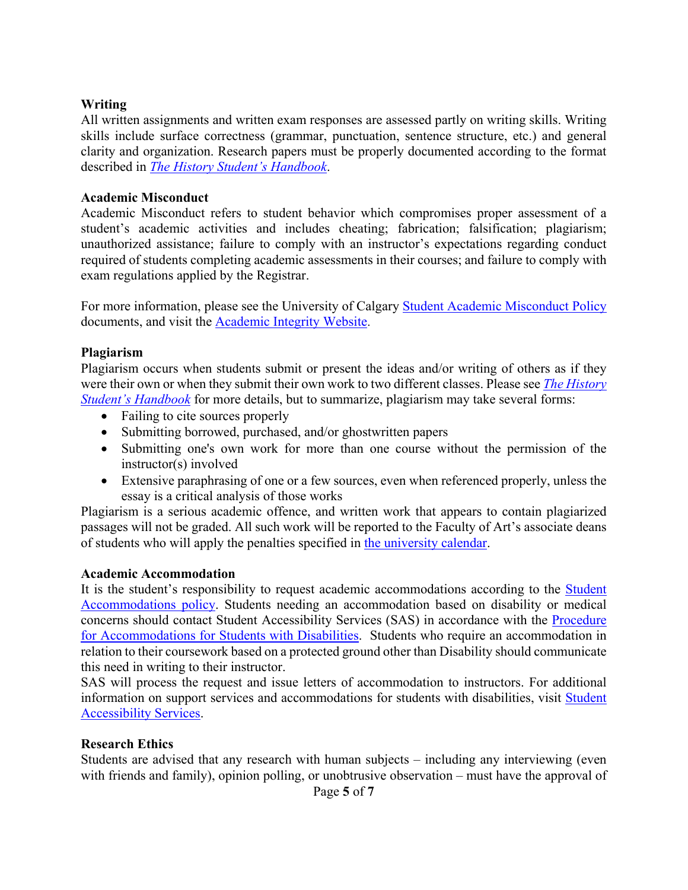#### **Writing**

All written assignments and written exam responses are assessed partly on writing skills. Writing skills include surface correctness (grammar, punctuation, sentence structure, etc.) and general clarity and organization. Research papers must be properly documented according to the format described in *[The History Student's Handbook](https://arts.ucalgary.ca/history/current-students/undergraduate/student-handbook)*.

#### **Academic Misconduct**

Academic Misconduct refers to student behavior which compromises proper assessment of a student's academic activities and includes cheating; fabrication; falsification; plagiarism; unauthorized assistance; failure to comply with an instructor's expectations regarding conduct required of students completing academic assessments in their courses; and failure to comply with exam regulations applied by the Registrar.

For more information, please see the University of Calgary **[Student Academic Misconduct Policy](https://www.ucalgary.ca/legal-services/university-policies-procedures/student-academic-misconduct-policy)** documents, and visit the [Academic Integrity Website.](https://ucalgary.ca/student-services/student-success/learning/academic-integrity)

#### **Plagiarism**

Plagiarism occurs when students submit or present the ideas and/or writing of others as if they were their own or when they submit their own work to two different classes. Please see *[The History](https://arts.ucalgary.ca/history/current-students/undergraduate/student-handbook)  [Student's Handbook](https://arts.ucalgary.ca/history/current-students/undergraduate/student-handbook)* for more details, but to summarize, plagiarism may take several forms:

- Failing to cite sources properly
- Submitting borrowed, purchased, and/or ghostwritten papers
- Submitting one's own work for more than one course without the permission of the instructor(s) involved
- Extensive paraphrasing of one or a few sources, even when referenced properly, unless the essay is a critical analysis of those works

Plagiarism is a serious academic offence, and written work that appears to contain plagiarized passages will not be graded. All such work will be reported to the Faculty of Art's associate deans of students who will apply the penalties specified in [the university calendar.](https://www.ucalgary.ca/pubs/calendar/current/k.html)

#### **Academic Accommodation**

It is the student's responsibility to request academic accommodations according to the [Student](https://www.ucalgary.ca/legal-services/university-policies-procedures/student-accommodation-policy)  [Accommodations policy.](https://www.ucalgary.ca/legal-services/university-policies-procedures/student-accommodation-policy) Students needing an accommodation based on disability or medical concerns should contact Student Accessibility Services (SAS) in accordance with the [Procedure](https://www.ucalgary.ca/legal-services/university-policies-procedures/accommodation-students-disabilities-procedure)  [for Accommodations for Students with Disabilities.](https://www.ucalgary.ca/legal-services/university-policies-procedures/accommodation-students-disabilities-procedure) Students who require an accommodation in relation to their coursework based on a protected ground other than Disability should communicate this need in writing to their instructor.

SAS will process the request and issue letters of accommodation to instructors. For additional information on support services and accommodations for students with disabilities, visit [Student](http://www.ucalgary.ca/access/)  [Accessibility Services.](http://www.ucalgary.ca/access/)

#### **Research Ethics**

Students are advised that any research with human subjects – including any interviewing (even with friends and family), opinion polling, or unobtrusive observation – must have the approval of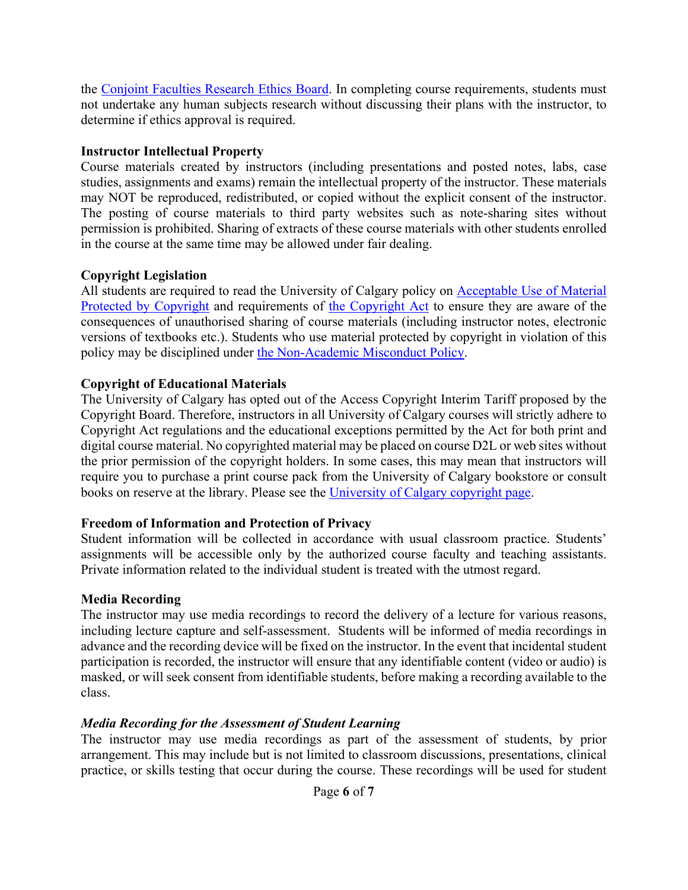the [Conjoint Faculties Research Ethics Board.](https://research.ucalgary.ca/conduct-research/ethics-compliance/human-research-ethics/conjoint-faculties-research-ethics-board) In completing course requirements, students must not undertake any human subjects research without discussing their plans with the instructor, to determine if ethics approval is required.

#### **Instructor Intellectual Property**

Course materials created by instructors (including presentations and posted notes, labs, case studies, assignments and exams) remain the intellectual property of the instructor. These materials may NOT be reproduced, redistributed, or copied without the explicit consent of the instructor. The posting of course materials to third party websites such as note-sharing sites without permission is prohibited. Sharing of extracts of these course materials with other students enrolled in the course at the same time may be allowed under fair dealing.

### **Copyright Legislation**

All students are required to read the University of Calgary policy on [Acceptable Use of Material](https://www.ucalgary.ca/legal-services/university-policies-procedures/acceptable-use-material-protected-copyright-policy)  [Protected by Copyright](https://www.ucalgary.ca/legal-services/university-policies-procedures/acceptable-use-material-protected-copyright-policy) and requirements of [the Copyright Act](https://laws-lois.justice.gc.ca/eng/acts/C-42/index.html) to ensure they are aware of the consequences of unauthorised sharing of course materials (including instructor notes, electronic versions of textbooks etc.). Students who use material protected by copyright in violation of this policy may be disciplined under [the Non-Academic Misconduct Policy.](https://www.ucalgary.ca/pubs/calendar/current/k.html)

# **Copyright of Educational Materials**

The University of Calgary has opted out of the Access Copyright Interim Tariff proposed by the Copyright Board. Therefore, instructors in all University of Calgary courses will strictly adhere to Copyright Act regulations and the educational exceptions permitted by the Act for both print and digital course material. No copyrighted material may be placed on course D2L or web sites without the prior permission of the copyright holders. In some cases, this may mean that instructors will require you to purchase a print course pack from the University of Calgary bookstore or consult books on reserve at the library. Please see the [University of Calgary copyright page.](http://library.ucalgary.ca/copyright)

### **Freedom of Information and Protection of Privacy**

Student information will be collected in accordance with usual classroom practice. Students' assignments will be accessible only by the authorized course faculty and teaching assistants. Private information related to the individual student is treated with the utmost regard.

# **Media Recording**

The instructor may use media recordings to record the delivery of a lecture for various reasons, including lecture capture and self-assessment. Students will be informed of media recordings in advance and the recording device will be fixed on the instructor. In the event that incidental student participation is recorded, the instructor will ensure that any identifiable content (video or audio) is masked, or will seek consent from identifiable students, before making a recording available to the class.

# *Media Recording for the Assessment of Student Learning*

The instructor may use media recordings as part of the assessment of students, by prior arrangement. This may include but is not limited to classroom discussions, presentations, clinical practice, or skills testing that occur during the course. These recordings will be used for student